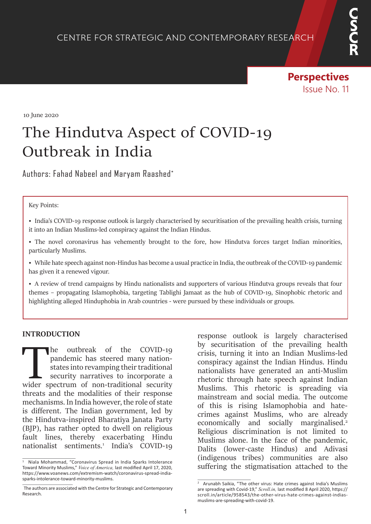**Perspectives**  Issue No. 11

10 June 2020

# The Hindutva Aspect of COVID-19 Outbreak in India

Authors: Fahad Nabeel and Maryam Raashed\*

#### Key Points:

• India's COVID-19 response outlook is largely characterised by securitisation of the prevailing health crisis, turning it into an Indian Muslims-led conspiracy against the Indian Hindus.

• The novel coronavirus has vehemently brought to the fore, how Hindutva forces target Indian minorities, particularly Muslims.

• While hate speech against non-Hindus has become a usual practice in India, the outbreak of the COVID-19 pandemic has given it a renewed vigour.

• A review of trend campaigns by Hindu nationalists and supporters of various Hindutva groups reveals that four themes – propagating Islamophobia, targeting Tablighi Jamaat as the hub of COVID-19, Sinophobic rhetoric and highlighting alleged Hinduphobia in Arab countries - were pursued by these individuals or groups.

#### **INTRODUCTION**

The outbreak of the COVID-19 pandemic has steered many nation-<br>states into revamping their traditional security narratives to incorporate a<br>wider spectrum of non-traditional security pandemic has steered many nationstates into revamping their traditional security narratives to incorporate a threats and the modalities of their response mechanisms. In India however, the role of state is different. The Indian government, led by the Hindutva-inspired Bharatiya Janata Party (BJP), has rather opted to dwell on religious fault lines, thereby exacerbating Hindu nationalist sentiments.<sup>1</sup> India's COVID-19 response outlook is largely characterised by securitisation of the prevailing health crisis, turning it into an Indian Muslims-led conspiracy against the Indian Hindus. Hindu nationalists have generated an anti-Muslim rhetoric through hate speech against Indian Muslims. This rhetoric is spreading via mainstream and social media. The outcome of this is rising Islamophobia and hatecrimes against Muslims, who are already economically and socially marginalised.<sup>2</sup> Religious discrimination is not limited to Muslims alone. In the face of the pandemic, Dalits (lower-caste Hindus) and Adivasi (indigenous tribes) communities are also suffering the stigmatisation attached to the

<sup>1</sup> Niala Mohammad, "Coronavirus Spread in India Sparks Intolerance Toward Minority Muslims," *Voice of America,* last modified April 17, 2020, https://www.voanews.com/extremism-watch/coronavirus-spread-indiasparks-intolerance-toward-minority-muslims.

The authors are associated with the Centre for Strategic and Contemporary Research.

<sup>&</sup>lt;sup>2</sup> Arunabh Saikia, "The other virus: Hate crimes against India's Muslims are spreading with Covid-19," *Scroll.in,* last modified 8 April 2020, https:// scroll.in/article/958543/the-other-virus-hate-crimes-against-indiasmuslims-are-spreading-with-covid-19.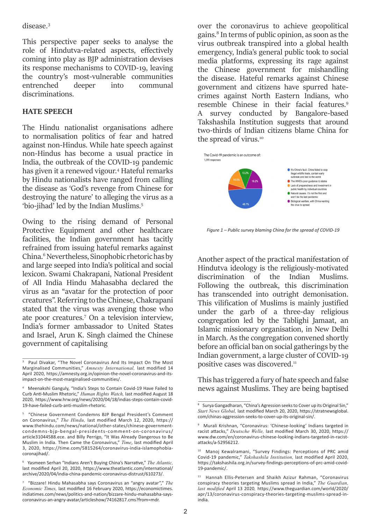## disease.3

This perspective paper seeks to analyse the role of Hindutva-related aspects, effectively coming into play as BJP administration devises its response mechanisms to COVID-19, leaving the country's most-vulnerable communities entrenched deeper into communal discriminations.

## **HATE SPEECH**

The Hindu nationalist organisations adhere to normalisation politics of fear and hatred against non-Hindus. While hate speech against non-Hindus has become a usual practice in India, the outbreak of the COVID-19 pandemic has given it a renewed vigour.<sup>4</sup> Hateful remarks by Hindu nationalists have ranged from calling the disease as 'God's revenge from Chinese for destroying the nature' to alleging the virus as a 'bio-jihad' led by the Indian Muslims.5

Owing to the rising demand of Personal Protective Equipment and other healthcare facilities, the Indian government has tacitly refrained from issuing hateful remarks against China.<sup>6</sup> Nevertheless, Sinophobic rhetoric has by and large seeped into India's political and social lexicon. Swami Chakrapani, National President of All India Hindu Mahasabha declared the virus as an "avatar for the protection of poor creatures". Referring to the Chinese, Chakrapani stated that the virus was avenging those who ate poor creatures.7 On a television interview, India's former ambassador to United States and Israel, Arun K. Singh claimed the Chinese government of capitalising

over the coronavirus to achieve geopolitical gains.8 In terms of public opinion, as soon as the virus outbreak transpired into a global health emergency, India's general public took to social media platforms, expressing its rage against the Chinese government for mishandling the disease. Hateful remarks against Chinese government and citizens have spurred hatecrimes against North Eastern Indians, who resemble Chinese in their facial features.9 A survey conducted by Bangalore-based Takshashila Institution suggests that around two-thirds of Indian citizens blame China for the spread of virus.<sup>10</sup>



*Figure 1 – Public survey blaming China for the spread of COVID-19*

Another aspect of the practical manifestation of Hindutva ideology is the religiously-motivated discrimination of the Indian Muslims. Following the outbreak, this discrimination has transcended into outright demonisation. This vilification of Muslims is mainly justified under the garb of a three-day religious congregation led by the Tablighi Jamaat, an Islamic missionary organisation, in New Delhi in March. As the congregation convened shortly before an official ban on social gatherings by the Indian government, a large cluster of COVID-19 positive cases was discovered.<sup>11</sup>

This has triggered a fury of hate speech and false news against Muslims. They are being baptised

<sup>&</sup>lt;sup>3</sup> Paul Divakar, "The Novel Coronavirus And Its Impact On The Most Marginalised Communities," *Amnesty International,* last modified 14 April 2020, https://amnesty.org.in/opinion-the-novel-coronavirus-and-itsimpact-on-the-most-marginalised-communities/.

<sup>4</sup> Meenakshi Ganguly, "India's Steps to Contain Covid-19 Have Failed to Curb Anti-Muslim Rhetoric," *Human Rights Watch,* last modified August 18 2020, https://www.hrw.org/news/2020/04/18/indias-steps-contain-covid-19-have-failed-curb-anti-muslim-rhetoric.

<sup>&</sup>lt;sup>5</sup> "Chinese Government Condemns BJP Bengal President's Comment on Coronavirus," *The Hindu,* last modified March 12, 2020, https:// www.thehindu.com/news/national/other-states/chinese-governmentcondemns-bjp-bengal-presidents-comment-on-coronavirus/ article31044588.ece. and Billy Perrigo, "It Was Already Dangerous to Be Muslim in India. Then Came the Coronavirus," *Time*, last modified April 3, 2020, https://time.com/5815264/coronavirus-india-islamophobiacoronajihad/.

<sup>6</sup> Yasmeen Serhan "Indians Aren't Buying China's Narrative," *The Atlantic,*  last modified April 20, 2020, https://www.theatlantic.com/international/ archive/2020/04/india-china-pandemic-coronavirus-distrust/610273/.

<sup>7</sup> "Bizzare! Hindu Mahasabha says Coronavirus an "angry avatar"," *The Economic Times,* last modified 16 February 2020, https://economictimes. indiatimes.com/news/politics-and-nation/bizzare-hindu-mahasabha-sayscoronavirus-an-angry-avatar/articleshow/74162817.cms?from=mdr.

<sup>&</sup>lt;sup>8</sup> Surya Gangadharan, "China's Agression seeks to Cover up its Original Sin," *Start News Global,* last modified March 20, 2020, https://stratnewsglobal. com/chinas-aggression-seeks-to-cover-up-its-original-sin/.

<sup>9</sup> Murali Krishnan, "Coronavirus: 'Chinese-looking' Indians targeted in racist attacks," *Deutsche Welle,* last modified March 30, 2020, https:// www.dw.com/en/coronavirus-chinese-looking-indians-targeted-in-racistattacks/a-52956212.

<sup>10</sup> Manoj Kewalramani, "Survey Findings: Perceptions of PRC amid Covid-19 pandemic," *Takshashila Institution,* last modified April 2020, https://takshashila.org.in/survey-findings-perceptions-of-prc-amid-covid-19-pandemic/.

<sup>11</sup> Hannah Ellis-Petersen and Shaikh Azizur Rahman, "Coronavirus conspiracy theories targeting Muslims spread in India," *The Guardian, last modified* April 13 2020*,* https://www.theguardian.com/world/2020/ apr/13/coronavirus-conspiracy-theories-targeting-muslims-spread-inindia.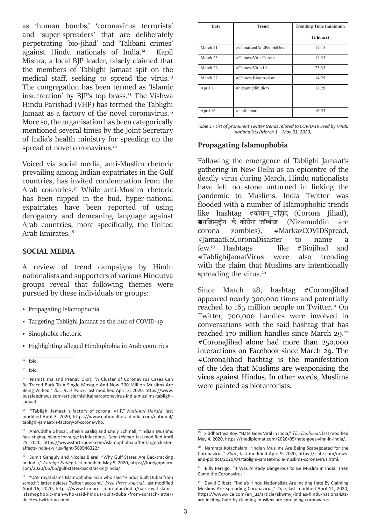as 'human bombs,' 'coronavirus terrorists' and 'super-spreaders' that are deliberately perpetrating 'bio-jihad' and 'Talibani crimes' against Hindu nationals of India.12 Kapil Mishra, a local BJP leader, falsely claimed that the members of Tablighi Jamaat spit on the medical staff, seeking to spread the virus.<sup>13</sup> The congregation has been termed as 'Islamic insurrection' by BJP's top brass.14 The Vishwa Hindu Parishad (VHP) has termed the Tablighi Jamaat as a factory of the novel coronavirus.<sup>15</sup> More so, the organisation has been categorically mentioned several times by the Joint Secretary of India's health ministry for speeding up the spread of novel coronavirus.<sup>16</sup>

Voiced via social media, anti-Muslim rhetoric prevailing among Indian expatriates in the Gulf countries, has invited condemnation from the Arab countries.<sup>17</sup> While anti-Muslim rhetoric has been nipped in the bud, hyper-national expatriates have been reported of using derogatory and demeaning language against Arab countries, more specifically, the United Arab Emirates.<sup>18</sup>

## **SOCIAL MEDIA**

A review of trend campaigns by Hindu nationalists and supporters of various Hindutva groups reveal that following themes were pursued by these individuals or groups:

- Propagating Islamophobia
- Targeting Tablighi Jamaat as the hub of COVID-19
- Sinophobic rhetoric
- Highlighting alleged Hinduphobia in Arab countries

15 "Tablighi Jamaat is factory of corona: VHP," *National Herald*, last modified April 3, 2020, https://www.nationalheraldindia.com/national/ tablighi-jamaat-is-factory-of-corona-vhp.

<sup>16</sup> Aniruddha Ghosal, Sheikh Saaliq and Emily Schmall, "Indian Muslims face stigma, blame for surge in infections," *Star Tribune,* last modified April 25, 2020, https://www.startribune.com/islamophobia-after-large-clusteraffects-india-s-virus-fight/569946322/.

| Date     | <b>Trend</b>            | <b>Trending Time (minimum</b> |
|----------|-------------------------|-------------------------------|
|          |                         | 12 hours)                     |
| March 21 | #ChinaLiedAndPeopleDied | 17:15                         |
| March 23 | #ChineseVirusCorona     | 14:35                         |
| March 26 | #ChineseVirus19         | 23:35                         |
| March 27 | #ChineseBioterrorism    | 14:25                         |
| April 1  | #nizamuddinidiots       | 12:25                         |
| April 16 | #jahiljamati            | 16:55                         |

*Table 1 - List of prominent Twitter trends related to COVID-19 used by Hindu nationalists (March 1 – May 31, 2020)*

## **Propagating Islamophobia**

Following the emergence of Tablighi Jamaat's gathering in New Delhi as an epicentre of the deadly virus during March, Hindu nationalists have left no stone unturned in linking the pandemic to Muslims. India Twitter was flooded with a number of Islamophobic trends like hashtag #कोरोना\_जिहाद (Corona Jihad), **ब्र**ानजािमद्दीन के कोरोना जॉम्बीज corona zombies), #MarkazCOVIDSpread, #JamaatKaCoronaDisaster to name a few.19 Hashtags like #Biojihad and #TablighiJamatVirus were also trending with the claim that Muslims are intentionally spreading the virus.<sup>20</sup>

Since March 28, hashtag #CoronaJihad appeared nearly 300,000 times and potentially reached to  $165$  million people on Twitter.<sup>21</sup> On Twitter, 700,000 handles were involved in conversations with the said hashtag that has reached 170 million handles since March 29.<sup>22</sup> #CoronaJihad alone had more than 250,000 interactions on Facebook since March 29. The #CoronaJihad hashtag is the manifestation of the idea that Muslims are weaponising the virus against Hindus. In other words, Muslims were painted as bioterrorists.

 $\overline{12}$  Ibid.

 $13$  Ibid.

<sup>14</sup> Nishita Jha and Pranav Dixit, "A Cluster of Coronavirus Cases Can Be Traced Back To A Single Mosque And Now 200 Million Muslims Are Being Vilified," *Buzzfeed News*, last modified April 3, 2020, https://www. buzzfeednews.com/article/nishitajha/coronavirus-india-muslims-tablighijamaat

<sup>&</sup>lt;sup>17</sup> Sumit Ganguly and Nicolas Blarel, "Why Gulf States Are Backtracking on India," *Foreign Policy,* last modified May 5, 2020, https://foreignpolicy. com/2020/05/05/gulf-states-backtracking-india/.

<sup>18</sup> "UAE royal slams Islamophobic man who said 'Hindus built Dubai from scratch'; latter deletes Twitter account," *Free Press Journal,* last modified April 16, 2020, https://www.freepressjournal.in/india/uae-royal-slamsislamophobic-man-who-said-hindus-built-dubai-from-scratch-latterdeletes-twitter-account.

<sup>19</sup> Siddharthya Roy, "Hate Goes Viral in India," *The Diplomat*, last modified May 4, 2020, https://thediplomat.com/2020/05/hate-goes-viral-in-india/.

Namrata Kolachalam, "Indian Muslims Are Being Scapegoated for the Coronavirus," *Slate*, last modified April 9, 2020, https://slate.com/newsand-politics/2020/04/tablighi-jamaat-india-muslims-coronavirus.html.

<sup>21</sup> Billy Perrigo, "It Was Already Dangerous to Be Muslim in India. Then Came the Coronavirus,"

David Gilbert, "India's Hindu Nationalists Are Inciting Hate By Claiming Muslims Are Spreading Coronavirus," *Vice*, last modified April 11, 2020, https://www.vice.com/en\_us/article/akwmyj/indias-hindu-nationalistsare-inciting-hate-by-claiming-muslims-are-spreading-coronavirus.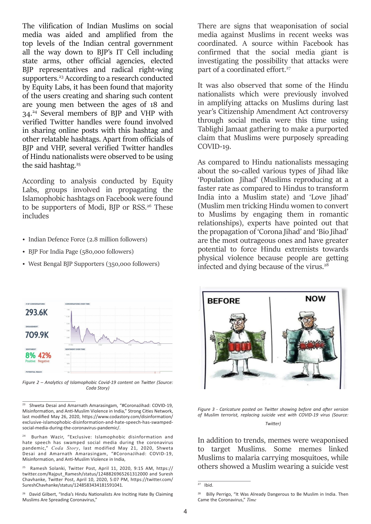The vilification of Indian Muslims on social media was aided and amplified from the top levels of the Indian central government all the way down to BJP's IT Cell including state arms, other official agencies, elected BJP representatives and radical right-wing supporters.<sup>23</sup> According to a research conducted by Equity Labs, it has been found that majority of the users creating and sharing such content are young men between the ages of 18 and 34.24 Several members of BJP and VHP with verified Twitter handles were found involved in sharing online posts with this hashtag and other relatable hashtags. Apart from officials of BJP and VHP, several verified Twitter handles of Hindu nationalists were observed to be using the said hashtag.<sup>25</sup>

According to analysis conducted by Equity Labs, groups involved in propagating the Islamophobic hashtags on Facebook were found to be supporters of Modi, BJP or RSS.<sup>26</sup> These includes

- Indian Defence Force (2.8 million followers)
- BJP For India Page (580,000 followers)
- West Bengal BJP Supporters (350,000 followers)



*Figure 2 – Analytics of Islamophobic Covid-19 content on Twitter (Source: Coda Story)*

There are signs that weaponisation of social media against Muslims in recent weeks was coordinated. A source within Facebook has confirmed that the social media giant is investigating the possibility that attacks were part of a coordinated effort.<sup>27</sup>

It was also observed that some of the Hindu nationalists which were previously involved in amplifying attacks on Muslims during last year's Citizenship Amendment Act controversy through social media were this time using Tablighi Jamaat gathering to make a purported claim that Muslims were purposely spreading COVID-19.

As compared to Hindu nationalists messaging about the so-called various types of Jihad like 'Population Jihad' (Muslims reproducing at a faster rate as compared to Hindus to transform India into a Muslim state) and 'Love Jihad' (Muslim men tricking Hindu women to convert to Muslims by engaging them in romantic relationships), experts have pointed out that the propagation of 'Corona Jihad' and 'Bio Jihad' are the most outrageous ones and have greater potential to force Hindu extremists towards physical violence because people are getting infected and dying because of the virus.<sup>28</sup>



*Figure 3 - Caricature posted on Twitter showing before and after version of Muslim terrorist, replacing suicide vest with COVID-19 virus (Source: Twitter)*

In addition to trends, memes were weaponised to target Muslims. Some memes linked Muslims to malaria carrying mosquitoes, while others showed a Muslim wearing a suicide vest

<sup>&</sup>lt;sup>23</sup> Shweta Desai and Amarnath Amarasingam, "#CoronaJihad: COVID-19, Misinformation, and Anti-Muslim Violence in India," Strong Cities Network, last modified May 26, 2020, https://www.codastory.com/disinformation/ exclusive-islamophobic-disinformation-and-hate-speech-has-swampedsocial-media-during-the-coronavirus-pandemic/.

Burhan Wazir, "Exclusive: Islamophobic disinformation and hate speech has swamped social media during the coronavirus pandemic," *Coda Story*, last modified May 21, 2020, Shweta Desai and Amarnath Amarasingam, "#CoronaJihad: COVID-19, Misinformation, and Anti-Muslim Violence in India,

<sup>25</sup> Ramesh Solanki, Twitter Post, April 11, 2020, 9:15 AM, https:// twitter.com/Rajput\_Ramesh/status/1248826965261312000 and Suresh Chavhanke, Twitter Post, April 10, 2020, 5:07 PM, https://twitter.com/ SureshChavhanke/status/1248583434181591041.

<sup>&</sup>lt;sup>26</sup> David Gilbert, "India's Hindu Nationalists Are Inciting Hate By Claiming Muslims Are Spreading Coronavirus,"

 $27$  Ibid.

<sup>&</sup>lt;sup>28</sup> Billy Perrigo, "It Was Already Dangerous to Be Muslim in India. Then Came the Coronavirus," *Time*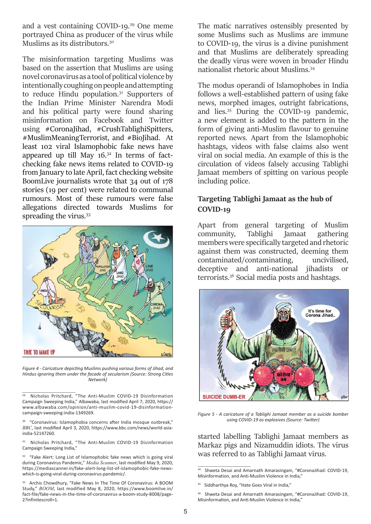and a vest containing COVID-19.29 One meme portrayed China as producer of the virus while Muslims as its distributors.<sup>30</sup>

The misinformation targeting Muslims was based on the assertion that Muslims are using novel coronavirus as a tool of political violence by intentionally coughing on people and attempting to reduce Hindu population.<sup>31</sup> Supporters of the Indian Prime Minister Narendra Modi and his political party were found sharing misinformation on Facebook and Twitter using #CoronaJihad, #CrushTablighiSpitters, #MuslimMeaningTerrorist, and #BioJihad. At least 102 viral Islamophobic fake news have appeared up till May  $16.^{32}$  In terms of factchecking fake news items related to COVID-19 from January to late April, fact checking website BoomLive journalists wrote that 34 out of 178 stories (19 per cent) were related to communal rumours. Most of these rumours were false allegations directed towards Muslims for spreading the virus.<sup>33</sup>



*Figure 4 - Caricature depicting Muslims pushing various forms of Jihad, and Hindus ignoring them under the facade of secularism (Source: Strong Cities Network)*

The matic narratives ostensibly presented by some Muslims such as Muslims are immune to COVID-19, the virus is a divine punishment and that Muslims are deliberately spreading the deadly virus were woven in broader Hindu nationalist rhetoric about Muslims.34

The modus operandi of Islamophobes in India follows a well-established pattern of using fake news, morphed images, outright fabrications, and lies.35 During the COVID-19 pandemic, a new element is added to the pattern in the form of giving anti-Muslim flavour to genuine reported news. Apart from the Islamophobic hashtags, videos with false claims also went viral on social media. An example of this is the circulation of videos falsely accusing Tablighi Jamaat members of spitting on various people including police.

# **Targeting Tablighi Jamaat as the hub of COVID-19**

Apart from general targeting of Muslim community, Tablighi Jamaat gathering members were specifically targeted and rhetoric against them was constructed, deeming them contaminated/contaminating, uncivilised, deceptive and anti-national jihadists or terrorists.36 Social media posts and hashtags.



*Figure 5 - A caricature of a Tablighi Jamaat member as a suicide bomber using COVID-19 as explosives (Source: Twitter)*

started labelling Tablighi Jamaat members as Markaz pigs and Nizamuddin idiots. The virus was referred to as Tablighi Jamaat virus.

<sup>&</sup>lt;sup>29</sup> Nicholas Pritchard, "The Anti-Muslim COVID-19 Disinformation Campaign Sweeping India," Albawaba, last modified April 7, 2020, https:// www.albawaba.com/opinion/anti-muslim-covid-19-disinformationcampaign-sweeping-india-1349269.

<sup>&</sup>lt;sup>30</sup> "Coronavirus: Islamophobia concerns after India mosque outbreak," *BBC*, last modified April 3, 2020, https://www.bbc.com/news/world-asiaindia-52147260.

<sup>31</sup> Nicholas Pritchard, "The Anti-Muslim COVID-19 Disinformation Campaign Sweeping India,"

<sup>&</sup>lt;sup>32</sup> "Fake Alert: Long List of Islamophobic fake news which is going viral during Coronavirus Pandemic," *Media Scanner*, last modified May 9, 2020, https://mediascanner.in/fake-alert-long-list-of-islamophobic-fake-newswhich-is-going-viral-during-coronavirus-pandemic/.

Archis Chowdhury, "Fake News In The Time Of Coronavirus: A BOOM Study," *BOOM*, last modified May 8, 2020, https://www.boomlive.in/ fact-file/fake-news-in-the-time-of-coronavirus-a-boom-study-8008/page-2?infinitescroll=1.

 $\frac{34}{34}$  Shweta Desai and Amarnath Amarasingam, "#CoronaJihad: COVID-19, Misinformation, and Anti-Muslim Violence in India,"

<sup>&</sup>lt;sup>35</sup> Siddharthya Roy, "Hate Goes Viral in India,"

<sup>&</sup>lt;sup>36</sup> Shweta Desai and Amarnath Amarasingam, "#CoronaJihad: COVID-19, Misinformation, and Anti-Muslim Violence in India,"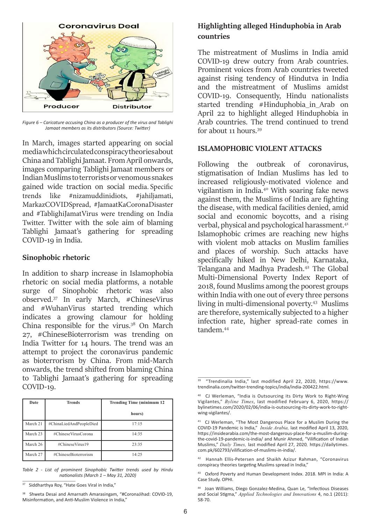

*Figure 6 – Caricature accusing China as a producer of the virus and Tablighi Jamaat members as its distributors (Source: Twitter)*

In March, images started appearing on social media which circulated conspiracy theories about China and Tablighi Jamaat. From April onwards, images comparing Tablighi Jamaat members or Indian Muslims to terrorists or venomous snakes gained wide traction on social media. Specific trends like #nizamuddinidiots, #jahiljamati, MarkazCOVIDSpread, #JamaatKaCoronaDisaster and #TablighiJamatVirus were trending on India Twitter. Twitter with the sole aim of blaming Tablighi Jamaat's gathering for spreading COVID-19 in India.

## **Sinophobic rhetoric**

In addition to sharp increase in Islamophobia rhetoric on social media platforms, a notable surge of Sinophobic rhetoric was also observed.37 In early March, #ChineseVirus and #WuhanVirus started trending which indicates a growing clamour for holding China responsible for the virus.38 On March 27, #ChineseBioterrorism was trending on India Twitter for 14 hours. The trend was an attempt to project the coronavirus pandemic as bioterrorism by China. From mid-March onwards, the trend shifted from blaming China to Tablighi Jamaat's gathering for spreading COVID-19.

| Date     | <b>Trends</b>           | <b>Trending Time (minimum 12)</b> |
|----------|-------------------------|-----------------------------------|
|          |                         | hours)                            |
| March 21 | #ChinaLiedAndPeopleDied | 17:15                             |
| March 23 | #ChineseVirusCorona     | 14:35                             |
| March 26 | #ChineseVirus19         | 23:35                             |
| March 27 | #ChineseBioterrorism    | 14:25                             |

*Table 2 - List of prominent Sinophobic Twitter trends used by Hindu nationalists (March 1 – May 31, 2020)*

# **Highlighting alleged Hinduphobia in Arab countries**

The mistreatment of Muslims in India amid COVID-19 drew outcry from Arab countries. Prominent voices from Arab countries tweeted against rising tendency of Hindutva in India and the mistreatment of Muslims amidst COVID-19. Consequently, Hindu nationalists started trending #Hinduphobia\_in Arab on April 22 to highlight alleged Hinduphobia in Arab countries. The trend continued to trend for about 11 hours.39

## **ISLAMOPHOBIC VIOLENT ATTACKS**

Following the outbreak of coronavirus, stigmatisation of Indian Muslims has led to increased religiously-motivated violence and vigilantism in India.40 With soaring fake news against them, the Muslims of India are fighting the disease, with medical facilities denied, amid social and economic boycotts, and a rising verbal, physical and psychological harassment.<sup>41</sup> Islamophobic crimes are reaching new highs with violent mob attacks on Muslim families and places of worship. Such attacks have specifically hiked in New Delhi, Karnataka, Telangana and Madhya Pradesh.<sup>42</sup> The Global Multi-Dimensional Poverty Index Report of 2018, found Muslims among the poorest groups within India with one out of every three persons living in multi-dimensional poverty.43 Muslims are therefore, systemically subjected to a higher infection rate, higher spread-rate comes in tandem.44

42 Hannah Ellis-Petersen and Shaikh Azizur Rahman, "Coronavirus conspiracy theories targeting Muslims spread in India,"

43 Oxford Poverty and Human Development Index. 2018. MPI in India: A Case Study. OPHI.

<sup>&</sup>lt;sup>37</sup> Siddharthya Roy, "Hate Goes Viral in India,"

<sup>&</sup>lt;sup>38</sup> Shweta Desai and Amarnath Amarasingam, "#CoronaJihad: COVID-19, Misinformation, and Anti-Muslim Violence in India,"

<sup>39 &</sup>quot;Trendinalia India," last modified April 22, 2020, https://www. trendinalia.com/twitter-trending-topics/india/india-200422.html.

<sup>40</sup> CJ Werleman, "India is Outsourcing its Dirty Work to Right-Wing Vigilantes," *Byline Times*, last modified February 6, 2020, https:// bylinetimes.com/2020/02/06/india-is-outsourcing-its-dirty-work-to-rightwing-vigilantes/.

<sup>41</sup> CJ Werleman, "The Most Dangerous Place for a Muslim During the COVID-19 Pandemic is India," *Inside Arabia,* last modified April 13, 2020, https://insidearabia.com/the-most-dangerous-place-for-a-muslim-duringthe-covid-19-pandemic-is-india/ and Munir Ahmed, "Vilification of Indian Muslims," *Daily Times,* last modified April 27, 2020*,* https://dailytimes. com.pk/602793/vilification-of-muslims-in-india/.

Joan Williams, Diego Gonzalez-Medina, Quan Le, "Infectious Diseases and Social Stigma," *Applied Technologies and Innovations* 4, no.1 (2011): 58-70.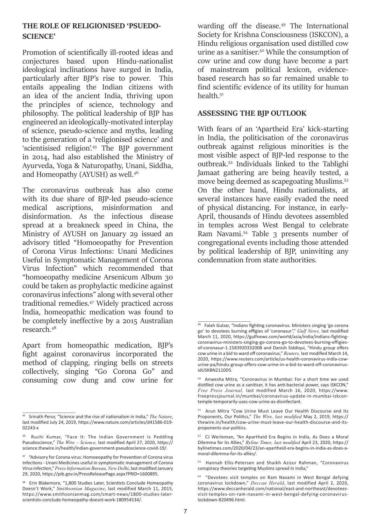## **THE ROLE OF RELIGIONISED 'PSUEDO-SCIENCE'**

Promotion of scientifically ill-rooted ideas and conjectures based upon Hindu-nationalist ideological inclinations have surged in India, particularly after BJP's rise to power. This entails appealing the Indian citizens with an idea of the ancient India, thriving upon the principles of science, technology and philosophy. The political leadership of BJP has engineered an ideologically-motivated interplay of science, pseudo-science and myths, leading to the generation of a 'religionised science' and 'scientisised religion'.45 The BJP government in 2014, had also established the Ministry of Ayurveda, Yoga & Naturopathy, Unani, Siddha, and Homeopathy (AYUSH) as well.46

The coronavirus outbreak has also come with its due share of BJP-led pseudo-science medical ascriptions, misinformation and disinformation. As the infectious disease spread at a breakneck speed in China, the Ministry of AYUSH on January 29 issued an advisory titled "Homoeopathy for Prevention of Corona Virus Infections: Unani Medicines Useful in Symptomatic Management of Corona Virus Infection" which recommended that "homoeopathy medicine Arsenicum Album 30 could be taken as prophylactic medicine against coronavirus infections" along with several other traditional remedies.47 Widely practiced across India, homeopathic medication was found to be completely ineffective by a 2015 Australian research.48

Apart from homeopathic medication, BJP's fight against coronavirus incorporated the method of clapping, ringing bells on streets collectively, singing "Go Corona Go" and consuming cow dung and cow urine for warding off the disease.49 The International Society for Krishna Consciousness (ISKCON), a Hindu religious organisation used distilled cow urine as a sanitiser.50 While the consumption of cow urine and cow dung have become a part of mainstream political lexicon, evidencebased research has so far remained unable to find scientific evidence of its utility for human health.51

## **ASSESSING THE BJP OUTLOOK**

With fears of an 'Apartheid Era' kick-starting in India, the politicisation of the coronavirus outbreak against religious minorities is the most visible aspect of BJP-led response to the outbreak.52 Individuals linked to the Tablighi Jamaat gathering are being heavily tested, a move being deemed as scapegoating Muslims.53 On the other hand, Hindu nationalists, at several instances have easily evaded the need of physical distancing. For instance, in early-April, thousands of Hindu devotees assembled in temples across West Bengal to celebrate Ram Navami.54 Table 3 presents number of congregational events including those attended by political leadership of BJP, uninviting any condemnation from state authorities.

<sup>45</sup> Srinath Perur, "Science and the rise of nationalism in India," *The Nature*, last modified July 24, 2019, https://www.nature.com/articles/d41586-019- 02243-x

<sup>46</sup> Ruchi Kumar, "Face It: The Indian Government Is Peddling Pseudoscience," *The Wire – Science,* last modified April 27, 2020, https:// science.thewire.in/health/indian-government-pseudoscience-covid-19/.

<sup>&</sup>lt;sup>47</sup> "Advisory for Corona virus: Homoeopathy for Prevention of Corona virus Infections - Unani Medicines useful in symptomatic management of Corona Virus infection," *Press Information Bureau, New Delhi*, last modified January 29, 2020, https://pib.gov.in/PressReleasePage.aspx?PRID=1600895.

<sup>48</sup> Erin Blakemore, "1,800 Studies Later, Scientists Conclude Homeopathy Doesn't Work," *Smithsonian Magazine*, last modified March 11, 2015, https://www.smithsonianmag.com/smart-news/1800-studies-laterscientists-conclude-homeopathy-doesnt-work-180954534/.

 $49$  Falah Gulzar, "Indians fighting coronavirus: Ministers singing 'go corona go' to devotees burning effigies of 'coronasur'," *Gulf News,* last modified March 11, 2020, https://gulfnews.com/world/asia/india/indians-fightingcoronavirus-ministers-singing-go-corona-go-to-devotees-burning-effigiesof-coronasur-1.1583920332008 and Danish Siddiqui, "Hindu group offers cow urine in a bid to ward off coronavirus," *Reuters,* last modified March 14, 2020, https://www.reuters.com/article/us-health-coronavirus-india-cowurine-pa/hindu-group-offers-cow-urine-in-a-bid-to-ward-off-coronavirusidUSKBN2110D5.

<sup>50</sup> Anwesha Mitra, "Coronavirus in Mumbai: For a short time we used distilled cow urine as a sanitiser, it has anti-bacterial power, says ISKCON," *Free Press Journal,* last modified March 16, 2020, https://www. freepressjournal.in/mumbai/coronavirus-update-in-mumbai-iskcontemple-temporarily-uses-cow-urine-as-disinfectant.

<sup>51</sup> Arun Mitra "Cow Urine Must Leave Our Health Discourse and Its Proponents, Our Politics," *The Wire, last modified* May 2, 2019, https:// thewire.in/health/cow-urine-must-leave-our-health-discourse-and-itsproponents-our-politics.

<sup>52</sup> CJ Werleman, "An Apartheid Era Begins in India, As Does a Moral Dilemma for its Allies," *Byline Times, last modified* April 23, 2020, https:// bylinetimes.com/2020/04/23/an-apartheid-era-begins-in-india-as-does-amoral-dilemma-for-its-allies/.

<sup>53</sup> Hannah Ellis-Petersen and Shaikh Azizur Rahman, "Coronavirus conspiracy theories targeting Muslims spread in India,"

<sup>54 &</sup>quot;Devotees visit temples on Ram Navami in West Bengal defying coronavirus lockdown," *Deccan Herald*, last modified April 2, 2020, https://www.deccanherald.com/national/east-and-northeast/devoteesvisit-temples-on-ram-navami-in-west-bengal-defying-coronaviruslockdown-820496.html.